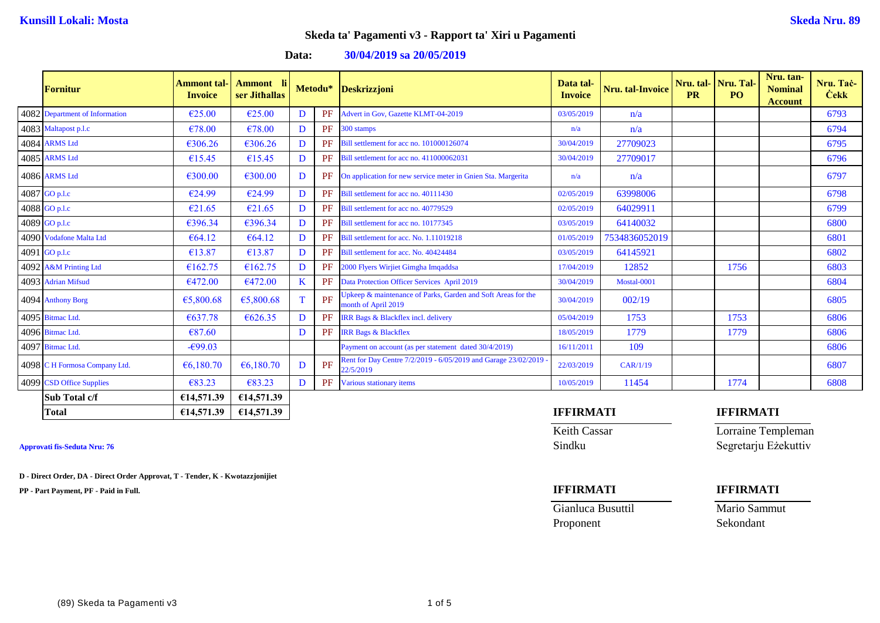**Data: 30/04/2019 sa 20/05/2019**

| <b>Fornitur</b>                | Ammont tal <sub>`</sub><br><b>Invoice</b> | -li<br>Ammont<br>ser Jithallas |    | Metodu*   | Deskrizzjoni                                                                        | Data tal-<br><b>Invoice</b> | Nru. tal-Invoice | Nru. tal-<br><b>PR</b> | Nru. Tal-<br>PO. | Nru. tan-<br><b>Nominal</b><br><b>Account</b> | Nru. Tac-<br><b>Cekk</b> |
|--------------------------------|-------------------------------------------|--------------------------------|----|-----------|-------------------------------------------------------------------------------------|-----------------------------|------------------|------------------------|------------------|-----------------------------------------------|--------------------------|
| 4082 Department of Information | $\epsilon$ 25.00                          | €25.00                         | D  | PF        | Advert in Gov. Gazette KLMT-04-2019                                                 | 03/05/2019                  | n/a              |                        |                  |                                               | 6793                     |
| 4083 Maltapost p.l.c           | €78.00                                    | €78.00                         | D  | PF        | 300 stamps                                                                          | n/a                         | n/a              |                        |                  |                                               | 6794                     |
| 4084 ARMS Ltd                  | €306.26                                   | €306.26                        | D  | PF        | Bill settlement for acc no. 101000126074                                            | 30/04/2019                  | 27709023         |                        |                  |                                               | 6795                     |
| 4085 ARMS Ltd                  | €15.45                                    | €15.45                         | D  | PF        | Bill settlement for acc no. 411000062031                                            | 30/04/2019                  | 27709017         |                        |                  |                                               | 6796                     |
| 4086 ARMS Ltd                  | €300.00                                   | €300.00                        | D  | PF        | On application for new service meter in Gnien Sta. Margerita                        | n/a                         | n/a              |                        |                  |                                               | 6797                     |
| 4087 GO p.l.c                  | €24.99                                    | €24.99                         | D  | PF        | Bill settlement for acc no. 40111430                                                | 02/05/2019                  | 63998006         |                        |                  |                                               | 6798                     |
| 4088 GO p.l.c                  | €21.65                                    | €21.65                         | D  | PF        | Bill settlement for acc no. 40779529                                                | 02/05/2019                  | 64029911         |                        |                  |                                               | 6799                     |
| 4089 GO p.l.c                  | €396.34                                   | €396.34                        | D  | PF        | Bill settlement for acc no. 10177345                                                | 03/05/2019                  | 64140032         |                        |                  |                                               | 6800                     |
| 4090 Vodafone Malta Ltd        | € $64.12$                                 | € $64.12$                      | D  | PF        | Bill settlement for acc. No. 1.11019218                                             | 01/05/2019                  | 7534836052019    |                        |                  |                                               | 6801                     |
| 4091 GO p.l.c                  | €13.87                                    | €13.87                         | D  | PF        | Bill settlement for acc. No. 40424484                                               | 03/05/2019                  | 64145921         |                        |                  |                                               | 6802                     |
| 4092 A&M Printing Ltd          | €162.75                                   | €162.75                        | D  | PF        | 2000 Flyers Wirjiet Gimgha Imqaddsa                                                 | 17/04/2019                  | 12852            |                        | 1756             |                                               | 6803                     |
| 4093 Adrian Mifsud             | €472.00                                   | €472.00                        | K  | <b>PF</b> | Data Protection Officer Services April 2019                                         | 30/04/2019                  | Mostal-0001      |                        |                  |                                               | 6804                     |
| 4094 Anthony Borg              | €5,800.68                                 | €5,800.68                      | T. | PF        | Jpkeep & maintenance of Parks, Garden and Soft Areas for the<br>month of April 2019 | 30/04/2019                  | 002/19           |                        |                  |                                               | 6805                     |
| 4095 Bitmac Ltd.               | €637.78                                   | €626.35                        | D  | PF        | IRR Bags & Blackflex incl. delivery                                                 | 05/04/2019                  | 1753             |                        | 1753             |                                               | 6806                     |
| 4096 Bitmac Ltd.               | €87.60                                    |                                | D  | PF        | <b>IRR Bags &amp; Blackflex</b>                                                     | 18/05/2019                  | 1779             |                        | 1779             |                                               | 6806                     |
| 4097 Bitmac Ltd.               | $-699.03$                                 |                                |    |           | Payment on account (as per statement dated 30/4/2019)                               | 16/11/2011                  | 109              |                        |                  |                                               | 6806                     |
| 4098 C H Formosa Company Ltd.  | €6,180.70                                 | €6,180.70                      | D  | PF        | Rent for Day Centre 7/2/2019 - 6/05/2019 and Garage 23/02/2019<br>22/5/2019         | 22/03/2019                  | CAR/1/19         |                        |                  |                                               | 6807                     |
| 4099 CSD Office Supplies       | €83.23                                    | €83.23                         | D  | PF        | Various stationary items                                                            | 10/05/2019                  | 11454            |                        | 1774             |                                               | 6808                     |
| <b>Sub Total c/f</b>           | €14,571.39                                | €14,571.39                     |    |           |                                                                                     |                             |                  |                        |                  |                                               |                          |
| <b>Total</b>                   | €14,571.39                                | €14,571.39                     |    |           |                                                                                     | <b>IFFIRMATI</b>            |                  |                        | <b>IFFIRMATI</b> |                                               |                          |

**D - Direct Order, DA - Direct Order Approvat, T - Tender, K - Kwotazzjonijiet**

**PP - Part Payment, PF - Paid in Full. IFFIRMATI IFFIRMATI**

Keith Cassar **Lorraine Templeman** Approvati fis-Seduta Nru: 76 Sindku Segretarju Eżekuttiv

Gianluca Busuttil Mario Sammut Proponent Sekondant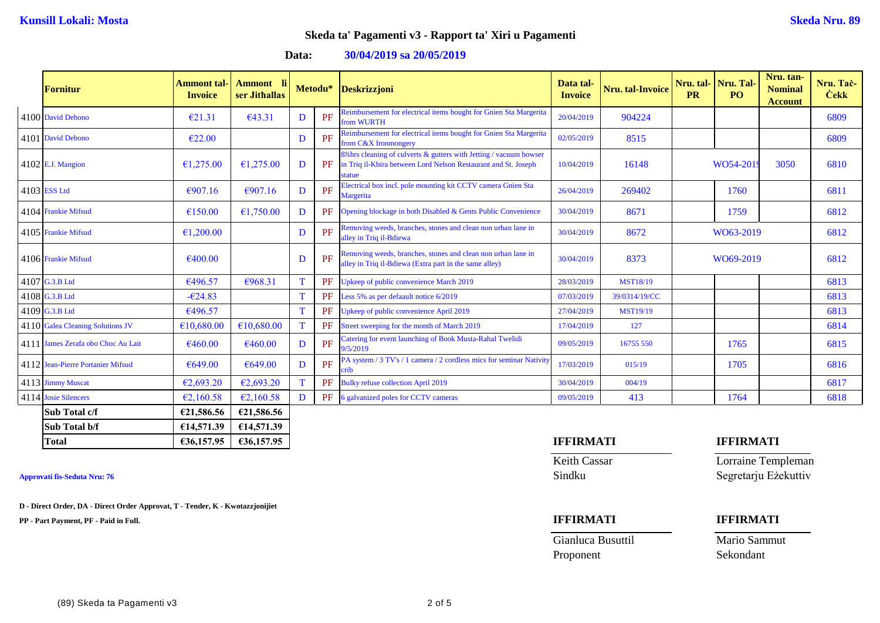**Data: 30/04/2019 sa 20/05/2019**

| <b>Fornitur</b>                    | Ammont tal<br><b>Invoice</b> | Ammont li<br>ser Jithallas |    | Metodu* | <b>Deskrizzjoni</b>                                                                                                                          | Data tal-<br><b>Invoice</b> | Nru. tal-Invoice | <b>PR</b> | Nru. tal- Nru. Tal-<br>PO. | Nru. tan-<br><b>Nominal</b><br><b>Account</b> | Nru. Tač-<br><b>Cekk</b> |
|------------------------------------|------------------------------|----------------------------|----|---------|----------------------------------------------------------------------------------------------------------------------------------------------|-----------------------------|------------------|-----------|----------------------------|-----------------------------------------------|--------------------------|
| 4100 David Debono                  | E21.31                       | €43.31                     | D  | PF      | Reimbursement for electrical items bought for Gnien Sta Margerita<br>from WURTH                                                              | 20/04/2019                  | 904224           |           |                            |                                               | 6809                     |
| 4101 David Debono                  | €22.00                       |                            | D  | PF      | Reimbursement for electrical items bought for Gnien Sta Margerita<br>from C&X Ironmongery                                                    | 02/05/2019                  | 8515             |           |                            |                                               | 6809                     |
| $4102$ E.J. Mangion                | €1,275.00                    | €1,275.00                  | D  | PF      | 8% are seening of culverts & gutters with Jetting / vacuum bowser<br>in Triq il-Kbira between Lord Nelson Restaurant and St. Joseph<br>tatue | 10/04/2019                  | 16148            |           | WO54-201                   | 3050                                          | 6810                     |
| 4103 ESS Ltd                       | €907.16                      | €907.16                    | D  | PF      | Electrical box incl. pole mounting kit CCTV camera Gnien Sta<br>Margerita                                                                    | 26/04/2019                  | 269402           |           | 1760                       |                                               | 6811                     |
| 4104 Frankie Mifsud                | €150.00                      | €1,750.00                  | D  | PF      | Opening blockage in both Disabled & Gents Public Convenience                                                                                 | 30/04/2019                  | 8671             |           | 1759                       |                                               | 6812                     |
| 4105 Frankie Mifsud                | €1,200.00                    |                            | D  | PF      | Removing weeds, branches, stones and clean non urban lane in<br>alley in Triq il-Bdiewa                                                      | 30/04/2019                  | 8672             |           | WO63-2019                  |                                               | 6812                     |
| 4106 Frankie Mifsud                | €400.00                      |                            | D  | PF      | Removing weeds, branches, stones and clean non urban lane in<br>alley in Triq il-Bdiewa (Extra part in the same alley)                       | 30/04/2019                  | 8373             |           | WO69-2019                  |                                               | 6812                     |
| 4107 G.3.B Ltd                     | €496.57                      | €968.31                    | T  | PF      | Upkeep of public convenience March 2019                                                                                                      | 28/03/2019                  | <b>MST18/19</b>  |           |                            |                                               | 6813                     |
| 4108 G.3.B Ltd                     | $-624.83$                    |                            | T  | PF      | Less 5% as per defaault notice 6/2019                                                                                                        | 07/03/2019                  | 39/0314/19/CC    |           |                            |                                               | 6813                     |
| 4109 G.3.B Ltd                     | €496.57                      |                            | T  | PF      | Upkeep of public convenience April 2019                                                                                                      | 27/04/2019                  | <b>MST19/19</b>  |           |                            |                                               | 6813                     |
| 4110 Galea Cleaning Solutions JV   | €10,680.00                   | €10,680.00                 | T  | PF      | Street sweeping for the month of March 2019                                                                                                  | 17/04/2019                  | 127              |           |                            |                                               | 6814                     |
| 4111 James Zerafa obo Choc Au Lait | €460.00                      | €460.00                    | D  | PF      | Catering for event launching of Book Musta-Rahal Twelidi<br>9/5/2019                                                                         | 09/05/2019                  | 16755 550        |           | 1765                       |                                               | 6815                     |
| 4112 Jean-Pierre Portanier Mifsud  | €649.00                      | €649.00                    | D  | PF      | PA system / 3 TV's / 1 camera / 2 cordless mics for seminar Nativity<br>erib                                                                 | 17/03/2019                  | 015/19           |           | 1705                       |                                               | 6816                     |
| 4113 Jimmy Muscat                  | €2,693.20                    | €2,693.20                  | T. | PF      | <b>Bulky refuse collection April 2019</b>                                                                                                    | 30/04/2019                  | 004/19           |           |                            |                                               | 6817                     |
| 4114 Josie Silencers               | €2,160.58                    | €2,160.58                  | D  | PF      | 6 galvanized poles for CCTV cameras                                                                                                          | 09/05/2019                  | 413              |           | 1764                       |                                               | 6818                     |
| <b>Sub Total c/f</b>               | €21,586.56                   | €21,586.56                 |    |         |                                                                                                                                              |                             |                  |           |                            |                                               |                          |
| Sub Total b/f                      | £14,571.39                   | €14,571.39                 |    |         |                                                                                                                                              |                             |                  |           |                            |                                               |                          |

**D - Direct Order, DA - Direct Order Approvat, T - Tender, K - Kwotazzjonijiet**

**PP - Part Payment, PF - Paid in Full. IFFIRMATI IFFIRMATI**

## **Total €36,157.95 €36,157.95 IFFIRMATI IFFIRMATI**

## Gianluca Busuttil Mario Sammut Proponent Sekondant

**Keith Cassar Lorraine Templeman** Approvati fis-Seduta Nru: 76 Segretarju Eżekuttiv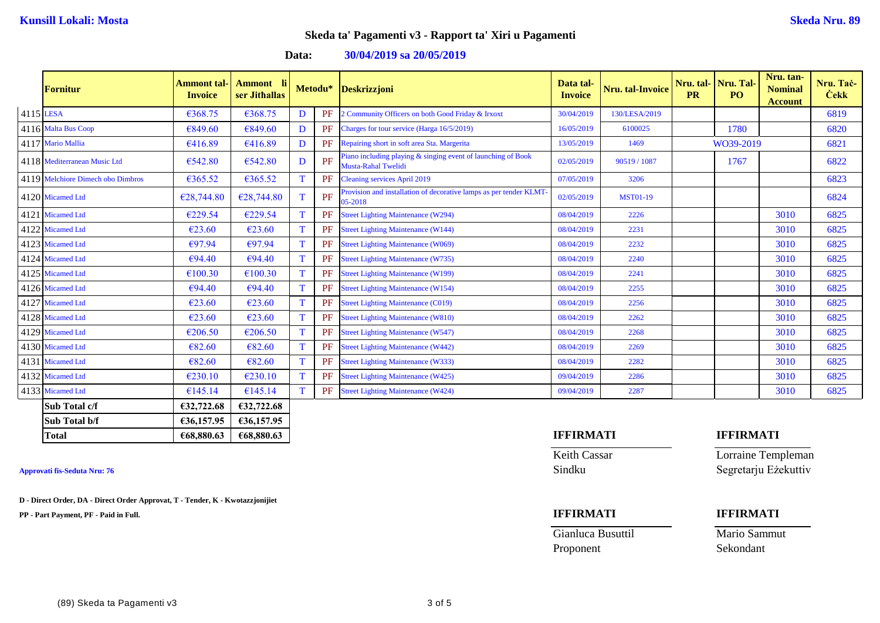**Data: 30/04/2019 sa 20/05/2019**

|           | <b>Fornitur</b>                   | Ammont tal-<br><b>Invoice</b> | Ammont li<br>ser Jithallas |              | Metodu* | <b>Deskrizzjoni</b>                                                                 | Data tal-<br><b>Invoice</b> | <b>Nru.</b> tal-Invoice | <b>PR</b> | Nru. tal- Nru. Tal-<br><b>PO</b> | Nru. tan-<br><b>Nominal</b><br><b>Account</b> | Nru. Tac-<br><b>Cekk</b> |
|-----------|-----------------------------------|-------------------------------|----------------------------|--------------|---------|-------------------------------------------------------------------------------------|-----------------------------|-------------------------|-----------|----------------------------------|-----------------------------------------------|--------------------------|
| 4115 LESA |                                   | €368.75                       | €368.75                    | D            | PF      | 2 Community Officers on both Good Friday & Irxoxt                                   | 30/04/2019                  | 130/LESA/2019           |           |                                  |                                               | 6819                     |
|           | 4116 Malta Bus Coop               | €849.60                       | €849.60                    | D            | PF      | Charges for tour service (Harga 16/5/2019)                                          | 16/05/2019                  | 6100025                 |           | 1780                             |                                               | 6820                     |
|           | 4117 Mario Mallia                 | €416.89                       | €416.89                    | D            | PF      | Repairing short in soft area Sta. Margerita                                         | 13/05/2019                  | 1469                    |           | WO39-2019                        |                                               | 6821                     |
|           | 4118 Mediterranean Music Ltd      | €542.80                       | €542.80                    | D            | PF      | Piano including playing & singing event of launching of Book<br>Musta-Rahal Twelidi | 02/05/2019                  | 90519 / 1087            |           | 1767                             |                                               | 6822                     |
|           | 4119 Melchiore Dimech obo Dimbros | €365.52                       | €365.52                    | <sup>T</sup> | PF      | <b>Cleaning services April 2019</b>                                                 | 07/05/2019                  | 3206                    |           |                                  |                                               | 6823                     |
|           | 4120 Micamed Ltd                  | €28,744.80                    | €28,744.80                 | T            | PF      | Provision and installation of decorative lamps as per tender KLMT-<br>05-2018       | 02/05/2019                  | <b>MST01-19</b>         |           |                                  |                                               | 6824                     |
|           | 4121 Micamed Ltd                  | €229.54                       | €229.54                    | <sup>T</sup> | PF      | <b>Street Lighting Maintenance (W294)</b>                                           | 08/04/2019                  | 2226                    |           |                                  | 3010                                          | 6825                     |
|           | 4122 Micamed Ltd                  | €23.60                        | €23.60                     | T            | PF      | <b>Street Lighting Maintenance (W144)</b>                                           | 08/04/2019                  | 2231                    |           |                                  | 3010                                          | 6825                     |
|           | 4123 Micamed Ltd                  | €97.94                        | €97.94                     | T            | PF      | <b>Street Lighting Maintenance (W069)</b>                                           | 08/04/2019                  | 2232                    |           |                                  | 3010                                          | 6825                     |
|           | 4124 Micamed Ltd                  | €94.40                        | €94.40                     | T            | PF      | <b>Street Lighting Maintenance (W735)</b>                                           | 08/04/2019                  | 2240                    |           |                                  | 3010                                          | 6825                     |
|           | 4125 Micamed Ltd                  | €100.30                       | €100.30                    | T            | PF      | <b>Street Lighting Maintenance (W199)</b>                                           | 08/04/2019                  | 2241                    |           |                                  | 3010                                          | 6825                     |
|           | 4126 Micamed Ltd                  | €94.40                        | €94.40                     | T            | PF      | <b>Street Lighting Maintenance (W154)</b>                                           | 08/04/2019                  | 2255                    |           |                                  | 3010                                          | 6825                     |
|           | 4127 Micamed Ltd                  | €23.60                        | €23.60                     | T            | PF      | <b>Street Lighting Maintenance (C019)</b>                                           | 08/04/2019                  | 2256                    |           |                                  | 3010                                          | 6825                     |
|           | 4128 Micamed Ltd                  | €23.60                        | €23.60                     | T            | PF      | <b>Street Lighting Maintenance (W810)</b>                                           | 08/04/2019                  | 2262                    |           |                                  | 3010                                          | 6825                     |
|           | 4129 Micamed Ltd                  | €206.50                       | €206.50                    | <b>T</b>     | PF      | <b>Street Lighting Maintenance (W547)</b>                                           | 08/04/2019                  | 2268                    |           |                                  | 3010                                          | 6825                     |
|           | 4130 Micamed Ltd                  | €82.60                        | €82.60                     | T            | PF      | <b>Street Lighting Maintenance (W442)</b>                                           | 08/04/2019                  | 2269                    |           |                                  | 3010                                          | 6825                     |
|           | 4131 Micamed Ltd                  | €82.60                        | €82.60                     | <b>T</b>     | PF      | <b>Street Lighting Maintenance (W333)</b>                                           | 08/04/2019                  | 2282                    |           |                                  | 3010                                          | 6825                     |
|           | 4132 Micamed Ltd                  | €230.10                       | €230.10                    | T            | PF      | <b>Street Lighting Maintenance (W425)</b>                                           | 09/04/2019                  | 2286                    |           |                                  | 3010                                          | 6825                     |
|           | 4133 Micamed Ltd                  | €145.14                       | €145.14                    | <b>T</b>     | PF      | <b>Street Lighting Maintenance (W424)</b>                                           | 09/04/2019                  | 2287                    |           |                                  | 3010                                          | 6825                     |
|           | Sub Total c/f                     | €32,722.68                    | €32,722.68                 |              |         |                                                                                     |                             |                         |           |                                  |                                               |                          |
|           | Sub Total b/f                     | €36,157.95                    | €36,157.95                 |              |         |                                                                                     |                             |                         |           |                                  |                                               |                          |

**D - Direct Order, DA - Direct Order Approvat, T - Tender, K - Kwotazzjonijiet**

**PP - Part Payment, PF - Paid in Full. IFFIRMATI IFFIRMATI**

## **Total €68,880.63 €68,880.63 IFFIRMATI IFFIRMATI**

Gianluca Busuttil Mario Sammut Proponent Sekondant

Keith Cassar **Lorraine Templeman** Approvati fis-Seduta Nru: 76 Sindku Segretarju Eżekuttiv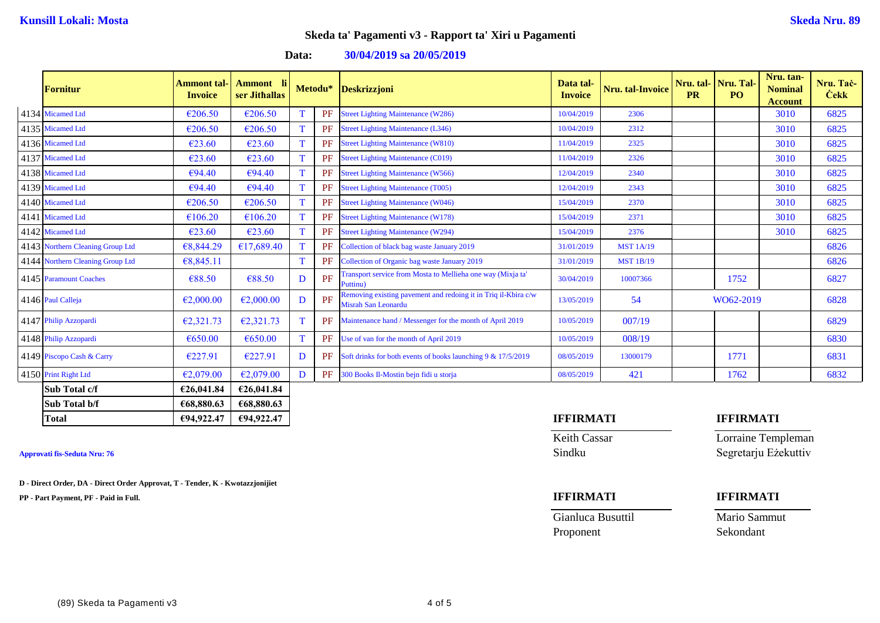**Data: 30/04/2019 sa 20/05/2019**

| <b>Fornitur</b>                  | <b>Ammont tal-</b><br><b>Invoice</b> | Ammont li<br>ser Jithallas |    | Metodu* | Deskrizzjoni                                                                          | Data tal-<br><b>Invoice</b> | Nru. tal-Invoice | <b>PR</b> | Nru. tal-   Nru. Tal-<br>PO. | Nru. tan-<br><b>Nominal</b><br><b>Account</b> | Nru. Tač-<br><b>Cekk</b> |
|----------------------------------|--------------------------------------|----------------------------|----|---------|---------------------------------------------------------------------------------------|-----------------------------|------------------|-----------|------------------------------|-----------------------------------------------|--------------------------|
| 4134 Micamed Ltd                 | €206.50                              | €206.50                    |    | PF      | <b>Street Lighting Maintenance (W286)</b>                                             | 10/04/2019                  | 2306             |           |                              | 3010                                          | 6825                     |
| 4135 Micamed Ltd                 | €206.50                              | €206.50                    | T. | PF      | <b>Street Lighting Maintenance (L346)</b>                                             | 10/04/2019                  | 2312             |           |                              | 3010                                          | 6825                     |
| 4136 Micamed Ltd                 | €23.60                               | €23.60                     | T  | PF      | <b>Street Lighting Maintenance (W810)</b>                                             | 11/04/2019                  | 2325             |           |                              | 3010                                          | 6825                     |
| 4137 Micamed Ltd                 | €23.60                               | €23.60                     | T  | PF      | <b>Street Lighting Maintenance (C019)</b>                                             | 11/04/2019                  | 2326             |           |                              | 3010                                          | 6825                     |
| 4138 Micamed Ltd                 | €94.40                               | €94.40                     | T  | PF      | <b>Street Lighting Maintenance (W566)</b>                                             | 12/04/2019                  | 2340             |           |                              | 3010                                          | 6825                     |
| 4139 Micamed Ltd                 | €94.40                               | €94.40                     | T  | PF      | <b>Street Lighting Maintenance (T005)</b>                                             | 12/04/2019                  | 2343             |           |                              | 3010                                          | 6825                     |
| 4140 Micamed Ltd                 | €206.50                              | €206.50                    | T  | PF      | <b>Street Lighting Maintenance (W046)</b>                                             | 15/04/2019                  | 2370             |           |                              | 3010                                          | 6825                     |
| 4141 Micamed Ltd                 | €106.20                              | €106.20                    | T  | PF      | <b>Street Lighting Maintenance (W178)</b>                                             | 15/04/2019                  | 2371             |           |                              | 3010                                          | 6825                     |
| 4142 Micamed Ltd                 | €23.60                               | €23.60                     | T  | PF      | <b>Street Lighting Maintenance (W294)</b>                                             | 15/04/2019                  | 2376             |           |                              | 3010                                          | 6825                     |
| 4143 Northern Cleaning Group Ltd | €8,844.29                            | €17,689.40                 | T  | PF      | Collection of black bag waste January 2019                                            | 31/01/2019                  | <b>MST 1A/19</b> |           |                              |                                               | 6826                     |
| 4144 Northern Cleaning Group Ltd | €8,845.11                            |                            | T  | PF      | Collection of Organic bag waste January 2019                                          | 31/01/2019                  | <b>MST 1B/19</b> |           |                              |                                               | 6826                     |
| 4145 Paramount Coaches           | €88.50                               | €88.50                     | D  | PF      | Transport service from Mosta to Mellieha one way (Mixja ta'<br>Puttinu)               | 30/04/2019                  | 10007366         |           | 1752                         |                                               | 6827                     |
| 4146 Paul Calleja                | €2,000.00                            | €2,000.00                  | D  | PF      | Removing existing pavement and redoing it in Triq il-Kbira c/w<br>Misrah San Leonardu | 13/05/2019                  | 54               |           | WO62-2019                    |                                               | 6828                     |
| 4147 Philip Azzopardi            | €2,321.73                            | €2,321.73                  | T  | PF      | Maintenance hand / Messenger for the month of April 2019                              | 10/05/2019                  | 007/19           |           |                              |                                               | 6829                     |
| 4148 Philip Azzopardi            | €650.00                              | €650.00                    | T  | PF      | Use of van for the month of April 2019                                                | 10/05/2019                  | 008/19           |           |                              |                                               | 6830                     |
| 4149 Piscopo Cash & Carry        | €227.91                              | €227.91                    | D  | PF      | Soft drinks for both events of books launching 9 & 17/5/2019                          | 08/05/2019                  | 13000179         |           | 1771                         |                                               | 6831                     |
| 4150 Print Right Ltd             | €2,079.00                            | €2,079.00                  | D  | PF      | 300 Books Il-Mostin bejn fidi u storja                                                | 08/05/2019                  | 421              |           | 1762                         |                                               | 6832                     |
| Sub Total c/f                    | €26,041.84                           | €26,041.84                 |    |         |                                                                                       |                             |                  |           |                              |                                               |                          |
| Sub Total b/f                    | €68,880.63                           | €68,880.63                 |    |         |                                                                                       |                             |                  |           |                              |                                               |                          |

**D - Direct Order, DA - Direct Order Approvat, T - Tender, K - Kwotazzjonijiet**

**PP - Part Payment, PF - Paid in Full. IFFIRMATI IFFIRMATI**

Gianluca Busuttil Mario Sammut Proponent Sekondant

## **Total €94,922.47 €94,922.47 IFFIRMATI IFFIRMATI**

**Keith Cassar Lorraine Templeman** Approvati fis-Seduta Nru: 76 Segretarju Eżekuttiv